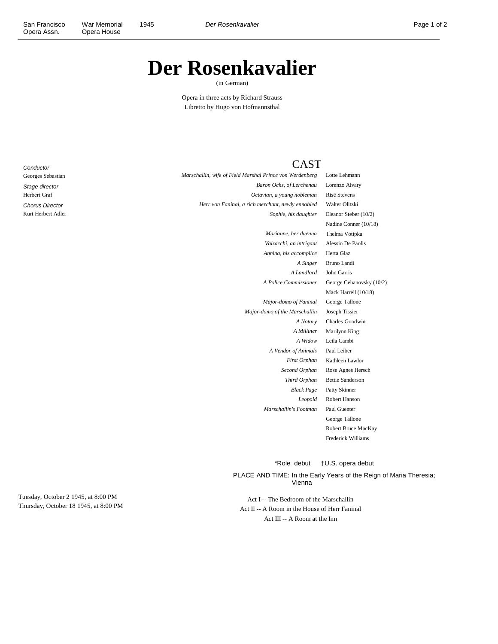## **Der Rosenkavalier**

(in German)

Opera in three acts by Richard Strauss Libretto by Hugo von Hofmannsthal

**Conductor** Georges Sebastian Stage director Herbert Graf Chorus Director Kurt Herbert Adler

## **CAST**

*Marschallin, wife of Field Marshal Prince von Werdenberg* Lotte Lehmann *Baron Ochs, of Lerchenau* Lorenzo Alvary *Octavian, a young nobleman* Risë Stevens *Herr von Faninal, a rich merchant, newly ennobled* Walter Olitzki *Marianne, her duenna* Thelma Votipka

*Annina, his accomplice* Herta Glaz

*Major-domo of Faninal* George Tallone *Major-domo of the Marschallin* Joseph Tissier *A Vendor of Animals* Paul Leiber *Marschallin's Footman* Paul Guenter

*Sophie, his daughter* Eleanor Steber (10/2) Nadine Conner (10/18) *Valzacchi, an intrigant* Alessio De Paolis *A Singer* Bruno Landi *A Landlord* John Garris *A Police Commissioner* George Cehanovsky (10/2) Mack Harrell (10/18) *A Notary* Charles Goodwin *A Milliner* Marilynn King *A Widow* Leila Cambi *First Orphan* Kathleen Lawlor *Second Orphan* Rose Agnes Hersch *Third Orphan* Bettie Sanderson *Black Page* Patty Skinner *Leopold* Robert Hanson George Tallone Robert Bruce MacKay Frederick Williams

\*Role debut †U.S. opera debut

PLACE AND TIME: In the Early Years of the Reign of Maria Theresia; Vienna

Act I -- The Bedroom of the Marschallin Act II -- A Room in the House of Herr Faninal Act III -- A Room at the Inn

Tuesday, October 2 1945, at 8:00 PM Thursday, October 18 1945, at 8:00 PM